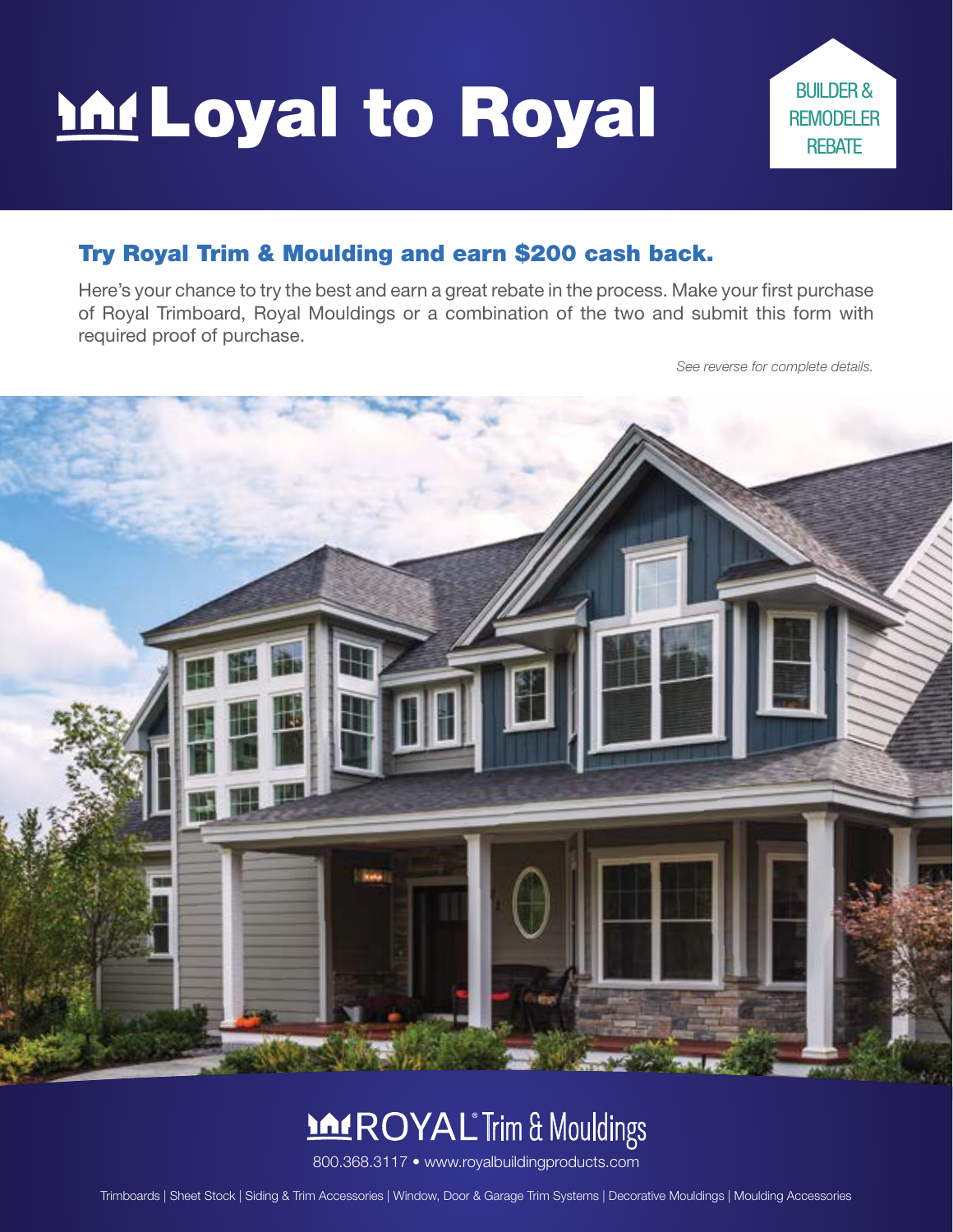# Loyal to Royal



#### Try Royal Trim & Moulding and earn \$200 cash back.

Here's your chance to try the best and earn a great rebate in the process. Make your first purchase of Royal Trimboard, Royal Mouldings or a combination of the two and submit this form with required proof of purchase.

*See reverse for complete details.*



## **MAROYAL** Trim & Mouldings

800.368.3117 • www.royalbuildingproducts.com